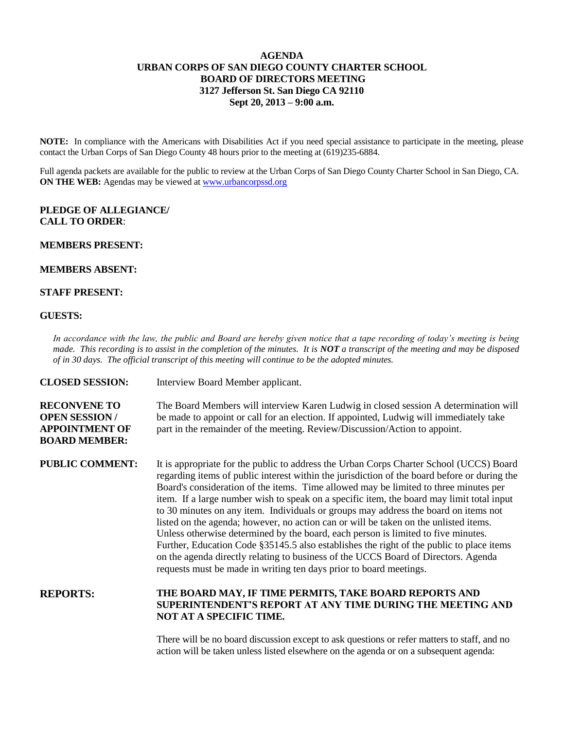## **AGENDA URBAN CORPS OF SAN DIEGO COUNTY CHARTER SCHOOL BOARD OF DIRECTORS MEETING 3127 Jefferson St. San Diego CA 92110 Sept 20, 2013 – 9:00 a.m.**

**NOTE:** In compliance with the Americans with Disabilities Act if you need special assistance to participate in the meeting, please contact the Urban Corps of San Diego County 48 hours prior to the meeting at (619)235-6884.

Full agenda packets are available for the public to review at the Urban Corps of San Diego County Charter School in San Diego, CA. **ON THE WEB:** Agendas may be viewed at **www.urbancorpssd.org** 

## **PLEDGE OF ALLEGIANCE/ CALL TO ORDER**:

# **MEMBERS PRESENT:**

# **MEMBERS ABSENT:**

### **STAFF PRESENT:**

#### **GUESTS:**

*In accordance with the law, the public and Board are hereby given notice that a tape recording of today's meeting is being made. This recording is to assist in the completion of the minutes. It is NOT a transcript of the meeting and may be disposed of in 30 days. The official transcript of this meeting will continue to be the adopted minutes.*

| <b>CLOSED SESSION:</b>                                                                       | Interview Board Member applicant.                                                                                                                                                                                                                                                                                                                                                                                                                                                                                                                                                                                                                                                                                                                                                                                                                                                                        |
|----------------------------------------------------------------------------------------------|----------------------------------------------------------------------------------------------------------------------------------------------------------------------------------------------------------------------------------------------------------------------------------------------------------------------------------------------------------------------------------------------------------------------------------------------------------------------------------------------------------------------------------------------------------------------------------------------------------------------------------------------------------------------------------------------------------------------------------------------------------------------------------------------------------------------------------------------------------------------------------------------------------|
| <b>RECONVENE TO</b><br><b>OPEN SESSION/</b><br><b>APPOINTMENT OF</b><br><b>BOARD MEMBER:</b> | The Board Members will interview Karen Ludwig in closed session A determination will<br>be made to appoint or call for an election. If appointed, Ludwig will immediately take<br>part in the remainder of the meeting. Review/Discussion/Action to appoint.                                                                                                                                                                                                                                                                                                                                                                                                                                                                                                                                                                                                                                             |
| <b>PUBLIC COMMENT:</b>                                                                       | It is appropriate for the public to address the Urban Corps Charter School (UCCS) Board<br>regarding items of public interest within the jurisdiction of the board before or during the<br>Board's consideration of the items. Time allowed may be limited to three minutes per<br>item. If a large number wish to speak on a specific item, the board may limit total input<br>to 30 minutes on any item. Individuals or groups may address the board on items not<br>listed on the agenda; however, no action can or will be taken on the unlisted items.<br>Unless otherwise determined by the board, each person is limited to five minutes.<br>Further, Education Code §35145.5 also establishes the right of the public to place items<br>on the agenda directly relating to business of the UCCS Board of Directors. Agenda<br>requests must be made in writing ten days prior to board meetings. |
| <b>REPORTS:</b>                                                                              | THE BOARD MAY, IF TIME PERMITS, TAKE BOARD REPORTS AND<br>SUPERINTENDENT'S REPORT AT ANY TIME DURING THE MEETING AND<br>NOT AT A SPECIFIC TIME.                                                                                                                                                                                                                                                                                                                                                                                                                                                                                                                                                                                                                                                                                                                                                          |

There will be no board discussion except to ask questions or refer matters to staff, and no action will be taken unless listed elsewhere on the agenda or on a subsequent agenda: